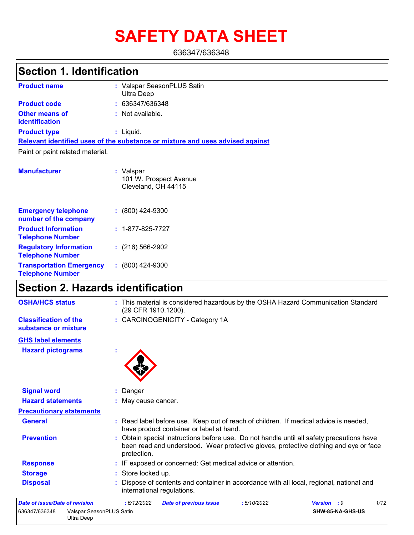# **SAFETY DATA SHEET**

636347/636348

### **Section 1. Identification**

| <b>Product name</b>                     | : Valspar SeasonPLUS Satin<br>Ultra Deep                                      |
|-----------------------------------------|-------------------------------------------------------------------------------|
| <b>Product code</b>                     | : 636347/636348                                                               |
| <b>Other means of</b><br>identification | : Not available.                                                              |
| <b>Product type</b>                     | : Liquid.                                                                     |
|                                         | Relevant identified uses of the substance or mixture and uses advised against |
| Paint or paint related material.        |                                                                               |
| <b>Manufacturer</b>                     | : Valspar<br>101 W. Prospect Avenue<br>Cleveland, OH 44115                    |

| <b>Emergency telephone</b><br>number of the company        | $: (800)$ 424-9300       |
|------------------------------------------------------------|--------------------------|
| <b>Product Information</b><br><b>Telephone Number</b>      | $: 1 - 877 - 825 - 7727$ |
| <b>Regulatory Information</b><br><b>Telephone Number</b>   | $(216)$ 566-2902         |
| <b>Transportation Emergency</b><br><b>Telephone Number</b> | $: (800)$ 424-9300       |

## **Section 2. Hazards identification**

| <b>OSHA/HCS status</b>                                  | : This material is considered hazardous by the OSHA Hazard Communication Standard<br>(29 CFR 1910.1200).                                                                                          |
|---------------------------------------------------------|---------------------------------------------------------------------------------------------------------------------------------------------------------------------------------------------------|
| <b>Classification of the</b><br>substance or mixture    | : CARCINOGENICITY - Category 1A                                                                                                                                                                   |
| <b>GHS label elements</b>                               |                                                                                                                                                                                                   |
| <b>Hazard pictograms</b>                                |                                                                                                                                                                                                   |
| <b>Signal word</b>                                      | Danger                                                                                                                                                                                            |
| <b>Hazard statements</b>                                | : May cause cancer.                                                                                                                                                                               |
| <b>Precautionary statements</b>                         |                                                                                                                                                                                                   |
| <b>General</b>                                          | : Read label before use. Keep out of reach of children. If medical advice is needed,<br>have product container or label at hand.                                                                  |
| <b>Prevention</b>                                       | : Obtain special instructions before use. Do not handle until all safety precautions have<br>been read and understood. Wear protective gloves, protective clothing and eye or face<br>protection. |
| <b>Response</b>                                         | : IF exposed or concerned: Get medical advice or attention.                                                                                                                                       |
| <b>Storage</b>                                          | : Store locked up.                                                                                                                                                                                |
| <b>Disposal</b>                                         | Dispose of contents and container in accordance with all local, regional, national and<br>international regulations.                                                                              |
| Date of issue/Date of revision                          | 1/12<br>: 6/12/2022<br><b>Date of previous issue</b><br>:5/10/2022<br><b>Version</b> : 9                                                                                                          |
| Valspar SeasonPLUS Satin<br>636347/636348<br>Ultra Deep | SHW-85-NA-GHS-US                                                                                                                                                                                  |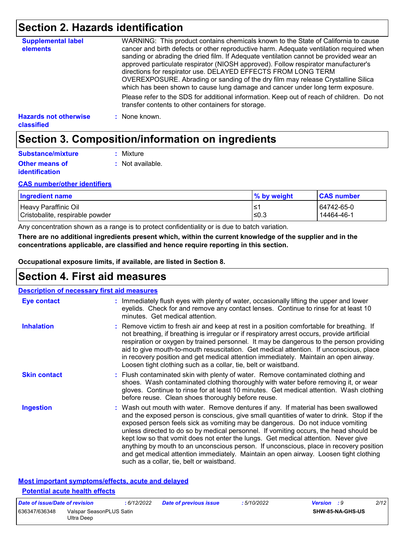### **Section 2. Hazards identification**

| <b>Supplemental label</b><br>elements             | WARNING: This product contains chemicals known to the State of California to cause<br>cancer and birth defects or other reproductive harm. Adequate ventilation required when<br>sanding or abrading the dried film. If Adequate ventilation cannot be provided wear an<br>approved particulate respirator (NIOSH approved). Follow respirator manufacturer's<br>directions for respirator use. DELAYED EFFECTS FROM LONG TERM<br>OVEREXPOSURE. Abrading or sanding of the dry film may release Crystalline Silica<br>which has been shown to cause lung damage and cancer under long term exposure. |
|---------------------------------------------------|------------------------------------------------------------------------------------------------------------------------------------------------------------------------------------------------------------------------------------------------------------------------------------------------------------------------------------------------------------------------------------------------------------------------------------------------------------------------------------------------------------------------------------------------------------------------------------------------------|
|                                                   | Please refer to the SDS for additional information. Keep out of reach of children. Do not<br>transfer contents to other containers for storage.                                                                                                                                                                                                                                                                                                                                                                                                                                                      |
| <b>Hazards not otherwise</b><br><b>classified</b> | : None known.                                                                                                                                                                                                                                                                                                                                                                                                                                                                                                                                                                                        |

### **Section 3. Composition/information on ingredients**

| Substance/mixture                              | : Mixture        |
|------------------------------------------------|------------------|
| <b>Other means of</b><br><i>identification</i> | : Not available. |

#### **CAS number/other identifiers**

| <b>Ingredient name</b>          | % by weight | <b>CAS number</b> |  |
|---------------------------------|-------------|-------------------|--|
| Heavy Paraffinic Oil            | ∙≥′         | 64742-65-0        |  |
| Cristobalite, respirable powder | ≤0.3        | 14464-46-1        |  |

Any concentration shown as a range is to protect confidentiality or is due to batch variation.

**There are no additional ingredients present which, within the current knowledge of the supplier and in the concentrations applicable, are classified and hence require reporting in this section.**

**Occupational exposure limits, if available, are listed in Section 8.**

### **Section 4. First aid measures**

| <b>Description of necessary first aid measures</b> |                                                                                                                                                                                                                                                                                                                                                                                                                                                                                                                                                                                                                                                                                   |
|----------------------------------------------------|-----------------------------------------------------------------------------------------------------------------------------------------------------------------------------------------------------------------------------------------------------------------------------------------------------------------------------------------------------------------------------------------------------------------------------------------------------------------------------------------------------------------------------------------------------------------------------------------------------------------------------------------------------------------------------------|
| Eye contact                                        | : Immediately flush eyes with plenty of water, occasionally lifting the upper and lower<br>eyelids. Check for and remove any contact lenses. Continue to rinse for at least 10<br>minutes. Get medical attention.                                                                                                                                                                                                                                                                                                                                                                                                                                                                 |
| <b>Inhalation</b>                                  | : Remove victim to fresh air and keep at rest in a position comfortable for breathing. If<br>not breathing, if breathing is irregular or if respiratory arrest occurs, provide artificial<br>respiration or oxygen by trained personnel. It may be dangerous to the person providing<br>aid to give mouth-to-mouth resuscitation. Get medical attention. If unconscious, place<br>in recovery position and get medical attention immediately. Maintain an open airway.<br>Loosen tight clothing such as a collar, tie, belt or waistband.                                                                                                                                         |
| <b>Skin contact</b>                                | : Flush contaminated skin with plenty of water. Remove contaminated clothing and<br>shoes. Wash contaminated clothing thoroughly with water before removing it, or wear<br>gloves. Continue to rinse for at least 10 minutes. Get medical attention. Wash clothing<br>before reuse. Clean shoes thoroughly before reuse.                                                                                                                                                                                                                                                                                                                                                          |
| <b>Ingestion</b>                                   | : Wash out mouth with water. Remove dentures if any. If material has been swallowed<br>and the exposed person is conscious, give small quantities of water to drink. Stop if the<br>exposed person feels sick as vomiting may be dangerous. Do not induce vomiting<br>unless directed to do so by medical personnel. If vomiting occurs, the head should be<br>kept low so that vomit does not enter the lungs. Get medical attention. Never give<br>anything by mouth to an unconscious person. If unconscious, place in recovery position<br>and get medical attention immediately. Maintain an open airway. Loosen tight clothing<br>such as a collar, tie, belt or waistband. |

### **Most important symptoms/effects, acute and delayed Potential acute health effects**

| Date of issue/Date of revision |                                        | : 6/12/2022 | <b>Date of previous issue</b> | : 5/10/2022 | <b>Version</b> : 9 |                         | 2/12 |
|--------------------------------|----------------------------------------|-------------|-------------------------------|-------------|--------------------|-------------------------|------|
| 636347/636348                  | Valspar SeasonPLUS Satin<br>Ultra Deep |             |                               |             |                    | <b>SHW-85-NA-GHS-US</b> |      |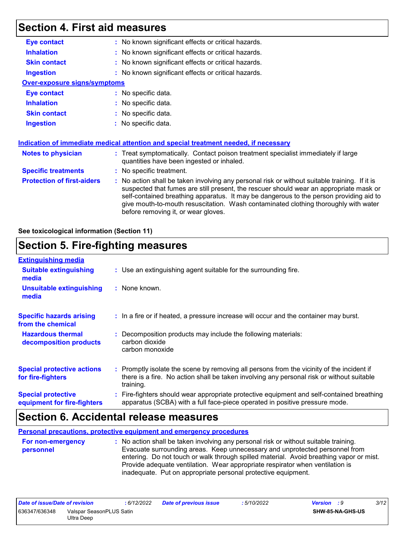### **Section 4. First aid measures**

| <b>Eye contact</b><br>: No known significant effects or critical hazards.<br><b>Inhalation</b><br>: No known significant effects or critical hazards.<br>: No known significant effects or critical hazards.<br><b>Skin contact</b><br>: No known significant effects or critical hazards.<br><b>Ingestion</b><br><b>Over-exposure signs/symptoms</b><br><b>Eye contact</b><br>: No specific data.<br><b>Inhalation</b><br>: No specific data.<br><b>Skin contact</b><br>: No specific data.<br><b>Ingestion</b><br>: No specific data.<br>Indication of immediate medical attention and special treatment needed, if necessary<br>: Treat symptomatically. Contact poison treatment specialist immediately if large<br><b>Notes to physician</b><br>quantities have been ingested or inhaled.<br><b>Specific treatments</b><br>: No specific treatment.<br><b>Protection of first-aiders</b><br>: No action shall be taken involving any personal risk or without suitable training. If it is<br>suspected that fumes are still present, the rescuer should wear an appropriate mask or<br>self-contained breathing apparatus. It may be dangerous to the person providing aid to |  |
|------------------------------------------------------------------------------------------------------------------------------------------------------------------------------------------------------------------------------------------------------------------------------------------------------------------------------------------------------------------------------------------------------------------------------------------------------------------------------------------------------------------------------------------------------------------------------------------------------------------------------------------------------------------------------------------------------------------------------------------------------------------------------------------------------------------------------------------------------------------------------------------------------------------------------------------------------------------------------------------------------------------------------------------------------------------------------------------------------------------------------------------------------------------------------------|--|
|                                                                                                                                                                                                                                                                                                                                                                                                                                                                                                                                                                                                                                                                                                                                                                                                                                                                                                                                                                                                                                                                                                                                                                                    |  |
|                                                                                                                                                                                                                                                                                                                                                                                                                                                                                                                                                                                                                                                                                                                                                                                                                                                                                                                                                                                                                                                                                                                                                                                    |  |
|                                                                                                                                                                                                                                                                                                                                                                                                                                                                                                                                                                                                                                                                                                                                                                                                                                                                                                                                                                                                                                                                                                                                                                                    |  |
|                                                                                                                                                                                                                                                                                                                                                                                                                                                                                                                                                                                                                                                                                                                                                                                                                                                                                                                                                                                                                                                                                                                                                                                    |  |
|                                                                                                                                                                                                                                                                                                                                                                                                                                                                                                                                                                                                                                                                                                                                                                                                                                                                                                                                                                                                                                                                                                                                                                                    |  |
|                                                                                                                                                                                                                                                                                                                                                                                                                                                                                                                                                                                                                                                                                                                                                                                                                                                                                                                                                                                                                                                                                                                                                                                    |  |
|                                                                                                                                                                                                                                                                                                                                                                                                                                                                                                                                                                                                                                                                                                                                                                                                                                                                                                                                                                                                                                                                                                                                                                                    |  |
|                                                                                                                                                                                                                                                                                                                                                                                                                                                                                                                                                                                                                                                                                                                                                                                                                                                                                                                                                                                                                                                                                                                                                                                    |  |
|                                                                                                                                                                                                                                                                                                                                                                                                                                                                                                                                                                                                                                                                                                                                                                                                                                                                                                                                                                                                                                                                                                                                                                                    |  |
|                                                                                                                                                                                                                                                                                                                                                                                                                                                                                                                                                                                                                                                                                                                                                                                                                                                                                                                                                                                                                                                                                                                                                                                    |  |
|                                                                                                                                                                                                                                                                                                                                                                                                                                                                                                                                                                                                                                                                                                                                                                                                                                                                                                                                                                                                                                                                                                                                                                                    |  |
|                                                                                                                                                                                                                                                                                                                                                                                                                                                                                                                                                                                                                                                                                                                                                                                                                                                                                                                                                                                                                                                                                                                                                                                    |  |
|                                                                                                                                                                                                                                                                                                                                                                                                                                                                                                                                                                                                                                                                                                                                                                                                                                                                                                                                                                                                                                                                                                                                                                                    |  |
| give mouth-to-mouth resuscitation. Wash contaminated clothing thoroughly with water<br>before removing it, or wear gloves.                                                                                                                                                                                                                                                                                                                                                                                                                                                                                                                                                                                                                                                                                                                                                                                                                                                                                                                                                                                                                                                         |  |

#### **See toxicological information (Section 11)**

### **Section 5. Fire-fighting measures**

| <b>Extinguishing media</b>                               |                                                                                                                                                                                                     |  |
|----------------------------------------------------------|-----------------------------------------------------------------------------------------------------------------------------------------------------------------------------------------------------|--|
| <b>Suitable extinguishing</b><br>media                   | : Use an extinguishing agent suitable for the surrounding fire.                                                                                                                                     |  |
| <b>Unsuitable extinguishing</b><br>media                 | : None known.                                                                                                                                                                                       |  |
| <b>Specific hazards arising</b><br>from the chemical     | : In a fire or if heated, a pressure increase will occur and the container may burst.                                                                                                               |  |
| <b>Hazardous thermal</b><br>decomposition products       | Decomposition products may include the following materials:<br>carbon dioxide<br>carbon monoxide                                                                                                    |  |
| <b>Special protective actions</b><br>for fire-fighters   | : Promptly isolate the scene by removing all persons from the vicinity of the incident if<br>there is a fire. No action shall be taken involving any personal risk or without suitable<br>training. |  |
| <b>Special protective</b><br>equipment for fire-fighters | : Fire-fighters should wear appropriate protective equipment and self-contained breathing<br>apparatus (SCBA) with a full face-piece operated in positive pressure mode.                            |  |

### **Section 6. Accidental release measures**

**Personal precautions, protective equipment and emergency procedures**

**:** No action shall be taken involving any personal risk or without suitable training. Evacuate surrounding areas. Keep unnecessary and unprotected personnel from entering. Do not touch or walk through spilled material. Avoid breathing vapor or mist. Provide adequate ventilation. Wear appropriate respirator when ventilation is inadequate. Put on appropriate personal protective equipment. **For non-emergency personnel**

| Date of issue/Date of revision            |            | 6/12/2022 | <b>Date of previous issue</b> | : 5/10/2022 | Version : 9             | 3/12 |
|-------------------------------------------|------------|-----------|-------------------------------|-------------|-------------------------|------|
| 636347/636348<br>Valspar SeasonPLUS Satin |            |           |                               |             | <b>SHW-85-NA-GHS-US</b> |      |
|                                           | Ultra Deep |           |                               |             |                         |      |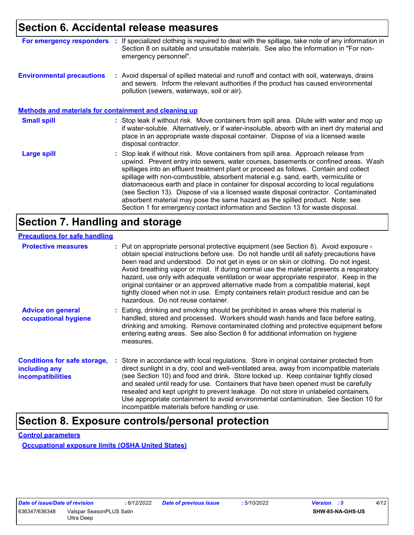### **Section 6. Accidental release measures**

| For emergency responders                                     | If specialized clothing is required to deal with the spillage, take note of any information in<br>Section 8 on suitable and unsuitable materials. See also the information in "For non-<br>emergency personnel".                                                                                                                                                                                                                                                                                                                                                                                                                                                                                             |
|--------------------------------------------------------------|--------------------------------------------------------------------------------------------------------------------------------------------------------------------------------------------------------------------------------------------------------------------------------------------------------------------------------------------------------------------------------------------------------------------------------------------------------------------------------------------------------------------------------------------------------------------------------------------------------------------------------------------------------------------------------------------------------------|
| <b>Environmental precautions</b>                             | : Avoid dispersal of spilled material and runoff and contact with soil, waterways, drains<br>and sewers. Inform the relevant authorities if the product has caused environmental<br>pollution (sewers, waterways, soil or air).                                                                                                                                                                                                                                                                                                                                                                                                                                                                              |
| <b>Methods and materials for containment and cleaning up</b> |                                                                                                                                                                                                                                                                                                                                                                                                                                                                                                                                                                                                                                                                                                              |
| <b>Small spill</b>                                           | : Stop leak if without risk. Move containers from spill area. Dilute with water and mop up<br>if water-soluble. Alternatively, or if water-insoluble, absorb with an inert dry material and<br>place in an appropriate waste disposal container. Dispose of via a licensed waste<br>disposal contractor.                                                                                                                                                                                                                                                                                                                                                                                                     |
| <b>Large spill</b>                                           | : Stop leak if without risk. Move containers from spill area. Approach release from<br>upwind. Prevent entry into sewers, water courses, basements or confined areas. Wash<br>spillages into an effluent treatment plant or proceed as follows. Contain and collect<br>spillage with non-combustible, absorbent material e.g. sand, earth, vermiculite or<br>diatomaceous earth and place in container for disposal according to local regulations<br>(see Section 13). Dispose of via a licensed waste disposal contractor. Contaminated<br>absorbent material may pose the same hazard as the spilled product. Note: see<br>Section 1 for emergency contact information and Section 13 for waste disposal. |

### **Section 7. Handling and storage**

#### **Precautions for safe handling**

| <b>Protective measures</b>                                                       | : Put on appropriate personal protective equipment (see Section 8). Avoid exposure -<br>obtain special instructions before use. Do not handle until all safety precautions have<br>been read and understood. Do not get in eyes or on skin or clothing. Do not ingest.<br>Avoid breathing vapor or mist. If during normal use the material presents a respiratory<br>hazard, use only with adequate ventilation or wear appropriate respirator. Keep in the<br>original container or an approved alternative made from a compatible material, kept<br>tightly closed when not in use. Empty containers retain product residue and can be<br>hazardous. Do not reuse container. |
|----------------------------------------------------------------------------------|--------------------------------------------------------------------------------------------------------------------------------------------------------------------------------------------------------------------------------------------------------------------------------------------------------------------------------------------------------------------------------------------------------------------------------------------------------------------------------------------------------------------------------------------------------------------------------------------------------------------------------------------------------------------------------|
| <b>Advice on general</b><br>occupational hygiene                                 | : Eating, drinking and smoking should be prohibited in areas where this material is<br>handled, stored and processed. Workers should wash hands and face before eating,<br>drinking and smoking. Remove contaminated clothing and protective equipment before<br>entering eating areas. See also Section 8 for additional information on hygiene<br>measures.                                                                                                                                                                                                                                                                                                                  |
| <b>Conditions for safe storage,</b><br>including any<br><b>incompatibilities</b> | : Store in accordance with local regulations. Store in original container protected from<br>direct sunlight in a dry, cool and well-ventilated area, away from incompatible materials<br>(see Section 10) and food and drink. Store locked up. Keep container tightly closed<br>and sealed until ready for use. Containers that have been opened must be carefully<br>resealed and kept upright to prevent leakage. Do not store in unlabeled containers.<br>Use appropriate containment to avoid environmental contamination. See Section 10 for<br>incompatible materials before handling or use.                                                                            |

### **Section 8. Exposure controls/personal protection**

**Control parameters**

**Occupational exposure limits (OSHA United States)**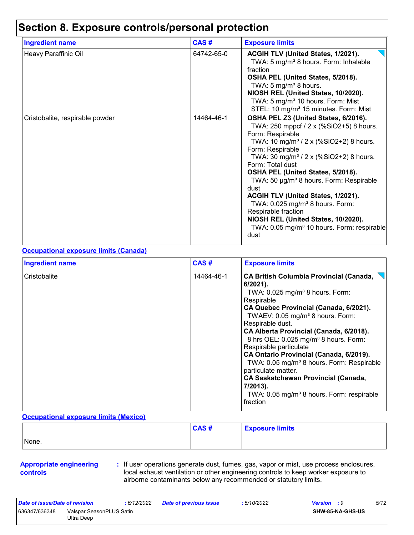### **Section 8. Exposure controls/personal protection**

| <b>Ingredient name</b>          | CAS#       | <b>Exposure limits</b>                                                                                                                                                                                                                                                                                                                                                                                                                                                                                                                                                                  |
|---------------------------------|------------|-----------------------------------------------------------------------------------------------------------------------------------------------------------------------------------------------------------------------------------------------------------------------------------------------------------------------------------------------------------------------------------------------------------------------------------------------------------------------------------------------------------------------------------------------------------------------------------------|
| Heavy Paraffinic Oil            | 64742-65-0 | ACGIH TLV (United States, 1/2021).<br>TWA: 5 mg/m <sup>3</sup> 8 hours. Form: Inhalable<br>fraction<br>OSHA PEL (United States, 5/2018).<br>TWA: 5 mg/m <sup>3</sup> 8 hours.<br>NIOSH REL (United States, 10/2020).<br>TWA: 5 mg/m <sup>3</sup> 10 hours. Form: Mist<br>STEL: 10 mg/m <sup>3</sup> 15 minutes. Form: Mist                                                                                                                                                                                                                                                              |
| Cristobalite, respirable powder | 14464-46-1 | OSHA PEL Z3 (United States, 6/2016).<br>TWA: 250 mppcf / 2 x (%SiO2+5) 8 hours.<br>Form: Respirable<br>TWA: 10 mg/m <sup>3</sup> / 2 x (%SiO2+2) 8 hours.<br>Form: Respirable<br>TWA: 30 mg/m <sup>3</sup> / 2 x (%SiO2+2) 8 hours.<br>Form: Total dust<br>OSHA PEL (United States, 5/2018).<br>TWA: 50 µg/m <sup>3</sup> 8 hours. Form: Respirable<br>dust<br><b>ACGIH TLV (United States, 1/2021).</b><br>TWA: 0.025 mg/m <sup>3</sup> 8 hours. Form:<br>Respirable fraction<br>NIOSH REL (United States, 10/2020).<br>TWA: 0.05 mg/m <sup>3</sup> 10 hours. Form: respirable<br>dust |

#### **Occupational exposure limits (Canada)**

| <b>Ingredient name</b> | CAS#       | <b>Exposure limits</b>                                                                                                                                                                                                                                                                                                                                                                                                                                                                                                                                                                                                         |
|------------------------|------------|--------------------------------------------------------------------------------------------------------------------------------------------------------------------------------------------------------------------------------------------------------------------------------------------------------------------------------------------------------------------------------------------------------------------------------------------------------------------------------------------------------------------------------------------------------------------------------------------------------------------------------|
| Cristobalite           | 14464-46-1 | <b>CA British Columbia Provincial (Canada,</b><br>$6/2021$ ).<br>TWA: $0.025$ mg/m <sup>3</sup> 8 hours. Form:<br>Respirable<br>CA Quebec Provincial (Canada, 6/2021).<br>TWAEV: 0.05 mg/m <sup>3</sup> 8 hours. Form:<br>Respirable dust.<br>CA Alberta Provincial (Canada, 6/2018).<br>8 hrs OEL: 0.025 mg/m <sup>3</sup> 8 hours. Form:<br>Respirable particulate<br>CA Ontario Provincial (Canada, 6/2019).<br>TWA: 0.05 mg/m <sup>3</sup> 8 hours. Form: Respirable<br>particulate matter.<br><b>CA Saskatchewan Provincial (Canada,</b><br>7/2013).<br>TWA: 0.05 mg/m <sup>3</sup> 8 hours. Form: respirable<br>fraction |

#### **Occupational exposure limits (Mexico)**

|       | <b>CAS#</b> | <b>Exposure limits</b> |
|-------|-------------|------------------------|
| None. |             |                        |

#### **Appropriate engineering controls**

**:** If user operations generate dust, fumes, gas, vapor or mist, use process enclosures, local exhaust ventilation or other engineering controls to keep worker exposure to airborne contaminants below any recommended or statutory limits.

| Date of issue/Date of revision |                                        | : 6/12/2022 | <b>Date of previous issue</b> | : 5/10/2022 | <b>Version</b> : 9 |                         | 5/12 |
|--------------------------------|----------------------------------------|-------------|-------------------------------|-------------|--------------------|-------------------------|------|
| 636347/636348                  | Valspar SeasonPLUS Satin<br>Ultra Deep |             |                               |             |                    | <b>SHW-85-NA-GHS-US</b> |      |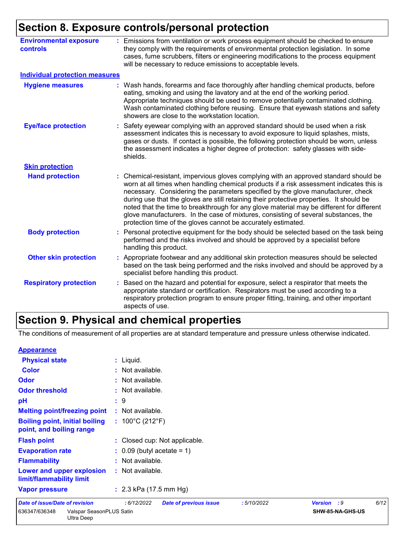### **Section 8. Exposure controls/personal protection**

| <b>Environmental exposure</b><br><b>controls</b> | : Emissions from ventilation or work process equipment should be checked to ensure<br>they comply with the requirements of environmental protection legislation. In some<br>cases, fume scrubbers, filters or engineering modifications to the process equipment<br>will be necessary to reduce emissions to acceptable levels.                                                                                                                                                                                                                                                                                      |
|--------------------------------------------------|----------------------------------------------------------------------------------------------------------------------------------------------------------------------------------------------------------------------------------------------------------------------------------------------------------------------------------------------------------------------------------------------------------------------------------------------------------------------------------------------------------------------------------------------------------------------------------------------------------------------|
| <b>Individual protection measures</b>            |                                                                                                                                                                                                                                                                                                                                                                                                                                                                                                                                                                                                                      |
| <b>Hygiene measures</b>                          | : Wash hands, forearms and face thoroughly after handling chemical products, before<br>eating, smoking and using the lavatory and at the end of the working period.<br>Appropriate techniques should be used to remove potentially contaminated clothing.<br>Wash contaminated clothing before reusing. Ensure that eyewash stations and safety<br>showers are close to the workstation location.                                                                                                                                                                                                                    |
| <b>Eye/face protection</b>                       | Safety eyewear complying with an approved standard should be used when a risk<br>assessment indicates this is necessary to avoid exposure to liquid splashes, mists,<br>gases or dusts. If contact is possible, the following protection should be worn, unless<br>the assessment indicates a higher degree of protection: safety glasses with side-<br>shields.                                                                                                                                                                                                                                                     |
| <b>Skin protection</b>                           |                                                                                                                                                                                                                                                                                                                                                                                                                                                                                                                                                                                                                      |
| <b>Hand protection</b>                           | Chemical-resistant, impervious gloves complying with an approved standard should be<br>worn at all times when handling chemical products if a risk assessment indicates this is<br>necessary. Considering the parameters specified by the glove manufacturer, check<br>during use that the gloves are still retaining their protective properties. It should be<br>noted that the time to breakthrough for any glove material may be different for different<br>glove manufacturers. In the case of mixtures, consisting of several substances, the<br>protection time of the gloves cannot be accurately estimated. |
| <b>Body protection</b>                           | : Personal protective equipment for the body should be selected based on the task being<br>performed and the risks involved and should be approved by a specialist before<br>handling this product.                                                                                                                                                                                                                                                                                                                                                                                                                  |
| <b>Other skin protection</b>                     | : Appropriate footwear and any additional skin protection measures should be selected<br>based on the task being performed and the risks involved and should be approved by a<br>specialist before handling this product.                                                                                                                                                                                                                                                                                                                                                                                            |
| <b>Respiratory protection</b>                    | Based on the hazard and potential for exposure, select a respirator that meets the<br>appropriate standard or certification. Respirators must be used according to a<br>respiratory protection program to ensure proper fitting, training, and other important<br>aspects of use.                                                                                                                                                                                                                                                                                                                                    |

## **Section 9. Physical and chemical properties**

The conditions of measurement of all properties are at standard temperature and pressure unless otherwise indicated.

#### **Appearance**

| <b>Physical state</b>                                             | : Liquid.                                                 |                     |  |  |  |  |
|-------------------------------------------------------------------|-----------------------------------------------------------|---------------------|--|--|--|--|
| <b>Color</b>                                                      | : Not available.                                          |                     |  |  |  |  |
| Odor                                                              | : Not available.                                          |                     |  |  |  |  |
| <b>Odor threshold</b>                                             | : Not available.                                          |                     |  |  |  |  |
| pH                                                                | : 9                                                       |                     |  |  |  |  |
| <b>Melting point/freezing point</b>                               | : Not available.                                          |                     |  |  |  |  |
| <b>Boiling point, initial boiling</b><br>point, and boiling range | : $100^{\circ}$ C (212 $^{\circ}$ F)                      |                     |  |  |  |  |
| <b>Flash point</b>                                                | : Closed cup: Not applicable.                             |                     |  |  |  |  |
| <b>Evaporation rate</b>                                           | $\therefore$ 0.09 (butyl acetate = 1)                     |                     |  |  |  |  |
| <b>Flammability</b>                                               | : Not available.                                          |                     |  |  |  |  |
| Lower and upper explosion<br>limit/flammability limit             | : Not available.                                          |                     |  |  |  |  |
| <b>Vapor pressure</b>                                             | : $2.3$ kPa (17.5 mm Hg)                                  |                     |  |  |  |  |
| Date of issue/Date of revision                                    | :6/12/2022<br><b>Date of previous issue</b><br>:5/10/2022 | 6/12<br>Version : 9 |  |  |  |  |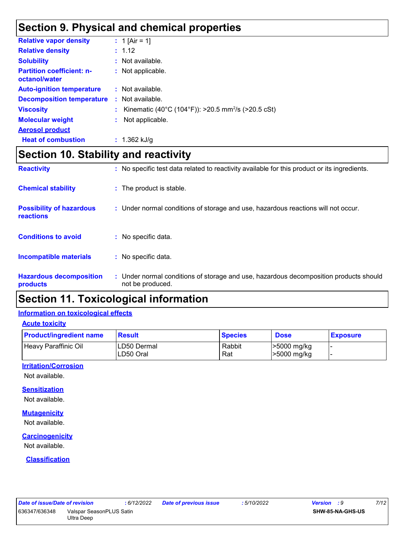### **Section 9. Physical and chemical properties**

| <b>Relative vapor density</b>                     | : 1 [Air = 1]                                                  |
|---------------------------------------------------|----------------------------------------------------------------|
| <b>Relative density</b>                           | : 1.12                                                         |
| <b>Solubility</b>                                 | : Not available.                                               |
| <b>Partition coefficient: n-</b><br>octanol/water | : Not applicable.                                              |
| <b>Auto-ignition temperature</b>                  | : Not available.                                               |
| <b>Decomposition temperature</b>                  | : Not available.                                               |
| <b>Viscosity</b>                                  | Kinematic (40°C (104°F)): >20.5 mm <sup>2</sup> /s (>20.5 cSt) |
| <b>Molecular weight</b>                           | Not applicable.                                                |
| <b>Aerosol product</b>                            |                                                                |
| <b>Heat of combustion</b>                         | : $1.362$ kJ/g                                                 |

### **Section 10. Stability and reactivity**

| <b>Reactivity</b>                            | : No specific test data related to reactivity available for this product or its ingredients.              |
|----------------------------------------------|-----------------------------------------------------------------------------------------------------------|
| <b>Chemical stability</b>                    | : The product is stable.                                                                                  |
| <b>Possibility of hazardous</b><br>reactions | : Under normal conditions of storage and use, hazardous reactions will not occur.                         |
| <b>Conditions to avoid</b>                   | : No specific data.                                                                                       |
| <b>Incompatible materials</b>                | : No specific data.                                                                                       |
| <b>Hazardous decomposition</b><br>products   | : Under normal conditions of storage and use, hazardous decomposition products should<br>not be produced. |

### **Section 11. Toxicological information**

#### **Information on toxicological effects**

**Acute toxicity**

| <b>Product/ingredient name</b> | <b>Result</b>            | <b>Species</b> | <b>Dose</b>                | <b>Exposure</b> |
|--------------------------------|--------------------------|----------------|----------------------------|-----------------|
| Heavy Paraffinic Oil           | LD50 Dermal<br>LD50 Oral | Rabbit<br>Rat  | >5000 mg/kg<br>>5000 mg/kg |                 |

#### **Irritation/Corrosion**

Not available.

#### **Sensitization**

Not available.

#### **Mutagenicity**

Not available.

#### **Carcinogenicity**

Not available.

#### **Classification**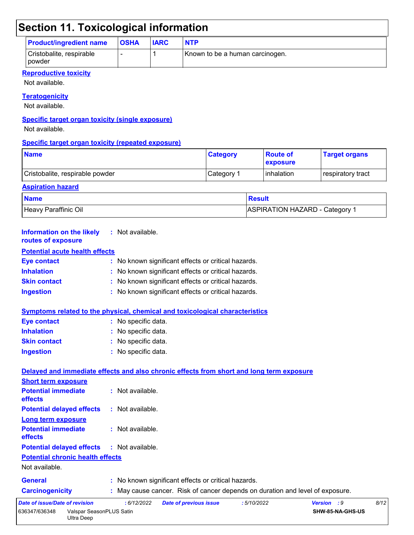## **Section 11. Toxicological information**

| <b>Product/ingredient name</b>       | <b>OSHA</b> | <b>IARC</b> | <b>NTP</b>                      |
|--------------------------------------|-------------|-------------|---------------------------------|
| Cristobalite, respirable<br>l powder |             |             | Known to be a human carcinogen. |

#### **Reproductive toxicity**

Not available.

#### **Teratogenicity**

Not available.

#### **Specific target organ toxicity (single exposure)**

Not available.

#### **Specific target organ toxicity (repeated exposure)**

| <b>Name</b>                     | <b>Category</b> | <b>Route of</b><br><b>Lexposure</b> | <b>Target organs</b> |
|---------------------------------|-----------------|-------------------------------------|----------------------|
| Cristobalite, respirable powder | Category 1      | I inhalation                        | respiratory tract    |

### **Aspiration hazard Name** Result **Result** Heavy Paraffinic Oil **ASPIRATION HAZARD** - Category 1

| <b>Information on the likely</b><br>routes of exposure  | : Not available.                                                                         |
|---------------------------------------------------------|------------------------------------------------------------------------------------------|
| <b>Potential acute health effects</b>                   |                                                                                          |
| <b>Eye contact</b>                                      | : No known significant effects or critical hazards.                                      |
| <b>Inhalation</b>                                       | No known significant effects or critical hazards.                                        |
| <b>Skin contact</b>                                     | No known significant effects or critical hazards.                                        |
| <b>Ingestion</b>                                        | : No known significant effects or critical hazards.                                      |
|                                                         | Symptoms related to the physical, chemical and toxicological characteristics             |
| <b>Eye contact</b>                                      | : No specific data.                                                                      |
| <b>Inhalation</b>                                       | : No specific data.                                                                      |
| <b>Skin contact</b>                                     | No specific data.                                                                        |
| <b>Ingestion</b>                                        | : No specific data.                                                                      |
|                                                         | Delayed and immediate effects and also chronic effects from short and long term exposure |
| <b>Short term exposure</b>                              |                                                                                          |
| <b>Potential immediate</b><br>effects                   | : Not available.                                                                         |
| <b>Potential delayed effects</b>                        | : Not available.                                                                         |
| Long term exposure                                      |                                                                                          |
| <b>Potential immediate</b><br>effects                   | : Not available.                                                                         |
| <b>Potential delayed effects</b>                        | : Not available.                                                                         |
| <b>Potential chronic health effects</b>                 |                                                                                          |
| Not available.                                          |                                                                                          |
| <b>General</b>                                          | : No known significant effects or critical hazards.                                      |
| <b>Carcinogenicity</b>                                  | : May cause cancer. Risk of cancer depends on duration and level of exposure.            |
| Date of issue/Date of revision                          | : 6/12/2022<br>Version : 9<br>8/12<br><b>Date of previous issue</b><br>:5/10/2022        |
| 636347/636348<br>Valspar SeasonPLUS Satin<br>Ultra Deep | SHW-85-NA-GHS-US                                                                         |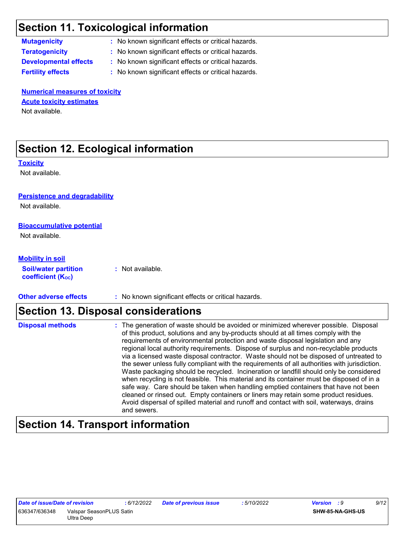### **Section 11. Toxicological information**

**Mutagenicity :** No known significant effects or critical hazards.

**Teratogenicity :** No known significant effects or critical hazards.

**Developmental effects :** No known significant effects or critical hazards.

**Fertility effects :** No known significant effects or critical hazards.

**Numerical measures of toxicity** Not available. **Acute toxicity estimates**

### **Section 12. Ecological information**

**Toxicity**

Not available.

#### **Persistence and degradability**

Not available.

#### **Bioaccumulative potential**

Not available.

#### **Mobility in soil**

**Soil/water partition**  coefficient (K<sub>oc</sub>)

**:** Not available.

**Other adverse effects** : No known significant effects or critical hazards.

### **Section 13. Disposal considerations**

| <b>Disposal methods</b> | : The generation of waste should be avoided or minimized wherever possible. Disposal<br>of this product, solutions and any by-products should at all times comply with the<br>requirements of environmental protection and waste disposal legislation and any<br>regional local authority requirements. Dispose of surplus and non-recyclable products<br>via a licensed waste disposal contractor. Waste should not be disposed of untreated to<br>the sewer unless fully compliant with the requirements of all authorities with jurisdiction.<br>Waste packaging should be recycled. Incineration or landfill should only be considered<br>when recycling is not feasible. This material and its container must be disposed of in a<br>safe way. Care should be taken when handling emptied containers that have not been<br>cleaned or rinsed out. Empty containers or liners may retain some product residues.<br>Avoid dispersal of spilled material and runoff and contact with soil, waterways, drains |
|-------------------------|----------------------------------------------------------------------------------------------------------------------------------------------------------------------------------------------------------------------------------------------------------------------------------------------------------------------------------------------------------------------------------------------------------------------------------------------------------------------------------------------------------------------------------------------------------------------------------------------------------------------------------------------------------------------------------------------------------------------------------------------------------------------------------------------------------------------------------------------------------------------------------------------------------------------------------------------------------------------------------------------------------------|
|                         | and sewers.                                                                                                                                                                                                                                                                                                                                                                                                                                                                                                                                                                                                                                                                                                                                                                                                                                                                                                                                                                                                    |

### **Section 14. Transport information**

| Date of <i>issue/Date of revision</i> |                          | : 6/12/2022 |
|---------------------------------------|--------------------------|-------------|
| 636347/636348                         | Valspar SeasonPLUS Satin |             |
|                                       | Ultra Deep               |             |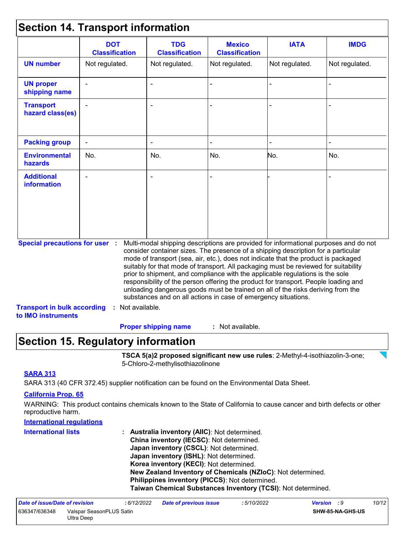### **Section 14. Transport information**

| Not regulated.                        | Not regulated.                     | Not regulated. | Not regulated. | Not regulated.                                                                                                                                                                                                                                                                                                                                                                                                                                                                                                                                                                                                                                                                      |
|---------------------------------------|------------------------------------|----------------|----------------|-------------------------------------------------------------------------------------------------------------------------------------------------------------------------------------------------------------------------------------------------------------------------------------------------------------------------------------------------------------------------------------------------------------------------------------------------------------------------------------------------------------------------------------------------------------------------------------------------------------------------------------------------------------------------------------|
|                                       |                                    |                |                |                                                                                                                                                                                                                                                                                                                                                                                                                                                                                                                                                                                                                                                                                     |
|                                       |                                    |                |                |                                                                                                                                                                                                                                                                                                                                                                                                                                                                                                                                                                                                                                                                                     |
|                                       |                                    |                |                |                                                                                                                                                                                                                                                                                                                                                                                                                                                                                                                                                                                                                                                                                     |
|                                       |                                    |                |                |                                                                                                                                                                                                                                                                                                                                                                                                                                                                                                                                                                                                                                                                                     |
| No.                                   | No.                                | No.            | No.            | No.                                                                                                                                                                                                                                                                                                                                                                                                                                                                                                                                                                                                                                                                                 |
|                                       |                                    |                |                |                                                                                                                                                                                                                                                                                                                                                                                                                                                                                                                                                                                                                                                                                     |
| <b>Special precautions for user :</b> |                                    |                |                |                                                                                                                                                                                                                                                                                                                                                                                                                                                                                                                                                                                                                                                                                     |
|                                       | <b>Transport in bulk according</b> | Not available. |                | Multi-modal shipping descriptions are provided for informational purposes and do not<br>consider container sizes. The presence of a shipping description for a particular<br>mode of transport (sea, air, etc.), does not indicate that the product is packaged<br>suitably for that mode of transport. All packaging must be reviewed for suitability<br>prior to shipment, and compliance with the applicable regulations is the sole<br>responsibility of the person offering the product for transport. People loading and<br>unloading dangerous goods must be trained on all of the risks deriving from the<br>substances and on all actions in case of emergency situations. |

: Not available. **Proper shipping name :**

### **Section 15. Regulatory information**

**TSCA 5(a)2 proposed significant new use rules**: 2-Methyl-4-isothiazolin-3-one; 5-Chloro-2-methylisothiazolinone

#### **SARA 313**

SARA 313 (40 CFR 372.45) supplier notification can be found on the Environmental Data Sheet.

#### **California Prop. 65**

WARNING: This product contains chemicals known to the State of California to cause cancer and birth defects or other reproductive harm.

#### **International regulations**

| <b>International lists</b> | : Australia inventory (AIIC): Not determined.                |
|----------------------------|--------------------------------------------------------------|
|                            | China inventory (IECSC): Not determined.                     |
|                            | Japan inventory (CSCL): Not determined.                      |
|                            | Japan inventory (ISHL): Not determined.                      |
|                            | Korea inventory (KECI): Not determined.                      |
|                            | New Zealand Inventory of Chemicals (NZIoC): Not determined.  |
|                            | Philippines inventory (PICCS): Not determined.               |
|                            | Taiwan Chemical Substances Inventory (TCSI): Not determined. |

| Date of issue/Date of revision                          |  | : 6/12/2022 | <b>Date of previous issue</b> | : 5/10/2022 | Version : 9 |                         | 10/12 |
|---------------------------------------------------------|--|-------------|-------------------------------|-------------|-------------|-------------------------|-------|
| 636347/636348<br>Valspar SeasonPLUS Satin<br>Ultra Deep |  |             |                               |             |             | <b>SHW-85-NA-GHS-US</b> |       |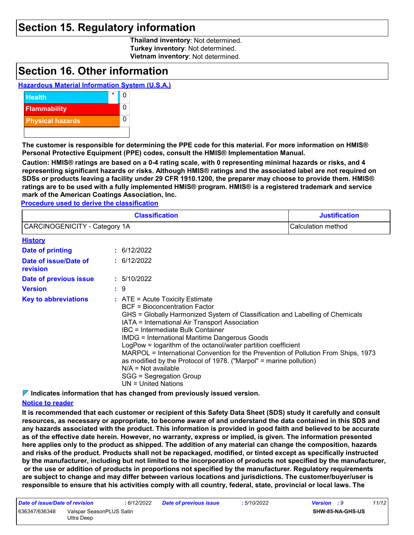### **Section 15. Regulatory information**

**Thailand inventory**: Not determined. **Turkey inventory**: Not determined. **Vietnam inventory**: Not determined.

### **Section 16. Other information**

### **Hazardous Material Information System (U.S.A.)**



**The customer is responsible for determining the PPE code for this material. For more information on HMIS® Personal Protective Equipment (PPE) codes, consult the HMIS® Implementation Manual.**

**Caution: HMIS® ratings are based on a 0-4 rating scale, with 0 representing minimal hazards or risks, and 4 representing significant hazards or risks. Although HMIS® ratings and the associated label are not required on SDSs or products leaving a facility under 29 CFR 1910.1200, the preparer may choose to provide them. HMIS® ratings are to be used with a fully implemented HMIS® program. HMIS® is a registered trademark and service mark of the American Coatings Association, Inc.**

**Procedure used to derive the classification**

|                                   | <b>Classification</b>                                                                                                                                                                                                                                                                                                                                                                                                                                                                                                                                                                                                      | <b>Justification</b> |  |  |  |
|-----------------------------------|----------------------------------------------------------------------------------------------------------------------------------------------------------------------------------------------------------------------------------------------------------------------------------------------------------------------------------------------------------------------------------------------------------------------------------------------------------------------------------------------------------------------------------------------------------------------------------------------------------------------------|----------------------|--|--|--|
| CARCINOGENICITY - Category 1A     |                                                                                                                                                                                                                                                                                                                                                                                                                                                                                                                                                                                                                            | Calculation method   |  |  |  |
| <b>History</b>                    |                                                                                                                                                                                                                                                                                                                                                                                                                                                                                                                                                                                                                            |                      |  |  |  |
| Date of printing                  | : 6/12/2022                                                                                                                                                                                                                                                                                                                                                                                                                                                                                                                                                                                                                |                      |  |  |  |
| Date of issue/Date of<br>revision | : 6/12/2022                                                                                                                                                                                                                                                                                                                                                                                                                                                                                                                                                                                                                |                      |  |  |  |
| Date of previous issue            | : 5/10/2022                                                                                                                                                                                                                                                                                                                                                                                                                                                                                                                                                                                                                |                      |  |  |  |
| <b>Version</b>                    | $\mathbf{.}9$                                                                                                                                                                                                                                                                                                                                                                                                                                                                                                                                                                                                              |                      |  |  |  |
| <b>Key to abbreviations</b>       | $\therefore$ ATE = Acute Toxicity Estimate<br><b>BCF</b> = Bioconcentration Factor<br>GHS = Globally Harmonized System of Classification and Labelling of Chemicals<br>IATA = International Air Transport Association<br>IBC = Intermediate Bulk Container<br><b>IMDG</b> = International Maritime Dangerous Goods<br>LogPow = logarithm of the octanol/water partition coefficient<br>MARPOL = International Convention for the Prevention of Pollution From Ships, 1973<br>as modified by the Protocol of 1978. ("Marpol" = marine pollution)<br>$N/A = Not available$<br>SGG = Segregation Group<br>UN = United Nations |                      |  |  |  |

**Indicates information that has changed from previously issued version.**

#### **Notice to reader**

**It is recommended that each customer or recipient of this Safety Data Sheet (SDS) study it carefully and consult resources, as necessary or appropriate, to become aware of and understand the data contained in this SDS and any hazards associated with the product. This information is provided in good faith and believed to be accurate as of the effective date herein. However, no warranty, express or implied, is given. The information presented here applies only to the product as shipped. The addition of any material can change the composition, hazards and risks of the product. Products shall not be repackaged, modified, or tinted except as specifically instructed by the manufacturer, including but not limited to the incorporation of products not specified by the manufacturer, or the use or addition of products in proportions not specified by the manufacturer. Regulatory requirements are subject to change and may differ between various locations and jurisdictions. The customer/buyer/user is responsible to ensure that his activities comply with all country, federal, state, provincial or local laws. The** 

| Date of issue/Date of revision |                                        | : 6/12/2022 | <b>Date of previous issue</b> | : 5/10/2022 | Version : 9 |                         | 11/12 |
|--------------------------------|----------------------------------------|-------------|-------------------------------|-------------|-------------|-------------------------|-------|
| 636347/636348                  | Valspar SeasonPLUS Satin<br>Ultra Deep |             |                               |             |             | <b>SHW-85-NA-GHS-US</b> |       |